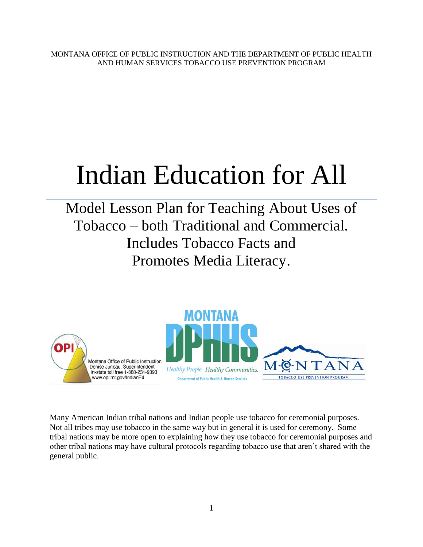MONTANA OFFICE OF PUBLIC INSTRUCTION AND THE DEPARTMENT OF PUBLIC HEALTH AND HUMAN SERVICES TOBACCO USE PREVENTION PROGRAM

# Indian Education for All

Model Lesson Plan for Teaching About Uses of Tobacco – both Traditional and Commercial. Includes Tobacco Facts and Promotes Media Literacy.



Many American Indian tribal nations and Indian people use tobacco for ceremonial purposes. Not all tribes may use tobacco in the same way but in general it is used for ceremony. Some tribal nations may be more open to explaining how they use tobacco for ceremonial purposes and other tribal nations may have cultural protocols regarding tobacco use that aren't shared with the general public.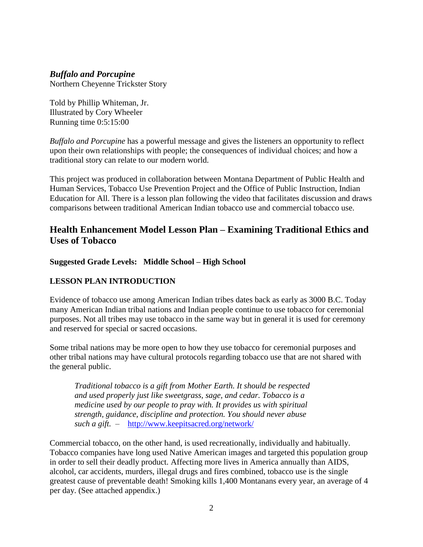#### *Buffalo and Porcupine*

Northern Cheyenne Trickster Story

Told by Phillip Whiteman, Jr. Illustrated by Cory Wheeler Running time 0:5:15:00

*Buffalo and Porcupine* has a powerful message and gives the listeners an opportunity to reflect upon their own relationships with people; the consequences of individual choices; and how a traditional story can relate to our modern world.

This project was produced in collaboration between Montana Department of Public Health and Human Services, Tobacco Use Prevention Project and the Office of Public Instruction, Indian Education for All. There is a lesson plan following the video that facilitates discussion and draws comparisons between traditional American Indian tobacco use and commercial tobacco use.

#### **Health Enhancement Model Lesson Plan – Examining Traditional Ethics and Uses of Tobacco**

**Suggested Grade Levels: Middle School – High School**

#### **LESSON PLAN INTRODUCTION**

Evidence of tobacco use among American Indian tribes dates back as early as 3000 B.C. Today many American Indian tribal nations and Indian people continue to use tobacco for ceremonial purposes. Not all tribes may use tobacco in the same way but in general it is used for ceremony and reserved for special or sacred occasions.

Some tribal nations may be more open to how they use tobacco for ceremonial purposes and other tribal nations may have cultural protocols regarding tobacco use that are not shared with the general public.

*Traditional tobacco is a gift from Mother Earth. It should be respected and used properly just like sweetgrass, sage, and cedar. Tobacco is a medicine used by our people to pray with. It provides us with spiritual strength, guidance, discipline and protection. You should never abuse such a gift.* – <http://www.keepitsacred.org/network/>

Commercial tobacco, on the other hand, is used recreationally, individually and habitually. Tobacco companies have long used Native American images and targeted this population group in order to sell their deadly product. Affecting more lives in America annually than AIDS, alcohol, car accidents, murders, illegal drugs and fires combined, tobacco use is the single greatest cause of preventable death! Smoking kills 1,400 Montanans every year, an average of 4 per day. (See attached appendix.)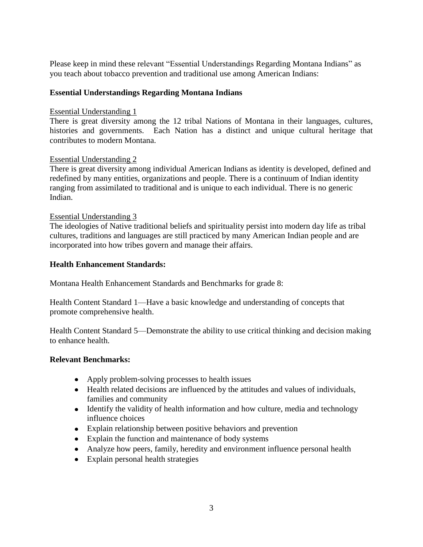Please keep in mind these relevant "Essential Understandings Regarding Montana Indians" as you teach about tobacco prevention and traditional use among American Indians:

#### **Essential Understandings Regarding Montana Indians**

#### Essential Understanding 1

There is great diversity among the 12 tribal Nations of Montana in their languages, cultures, histories and governments. Each Nation has a distinct and unique cultural heritage that contributes to modern Montana.

#### Essential Understanding 2

There is great diversity among individual American Indians as identity is developed, defined and redefined by many entities, organizations and people. There is a continuum of Indian identity ranging from assimilated to traditional and is unique to each individual. There is no generic Indian.

#### Essential Understanding 3

The ideologies of Native traditional beliefs and spirituality persist into modern day life as tribal cultures, traditions and languages are still practiced by many American Indian people and are incorporated into how tribes govern and manage their affairs.

#### **Health Enhancement Standards:**

Montana Health Enhancement Standards and Benchmarks for grade 8:

Health Content Standard 1—Have a basic knowledge and understanding of concepts that promote comprehensive health.

Health Content Standard 5—Demonstrate the ability to use critical thinking and decision making to enhance health.

#### **Relevant Benchmarks:**

- Apply problem-solving processes to health issues
- Health related decisions are influenced by the attitudes and values of individuals, families and community
- Identify the validity of health information and how culture, media and technology influence choices
- Explain relationship between positive behaviors and prevention
- Explain the function and maintenance of body systems
- Analyze how peers, family, heredity and environment influence personal health
- Explain personal health strategies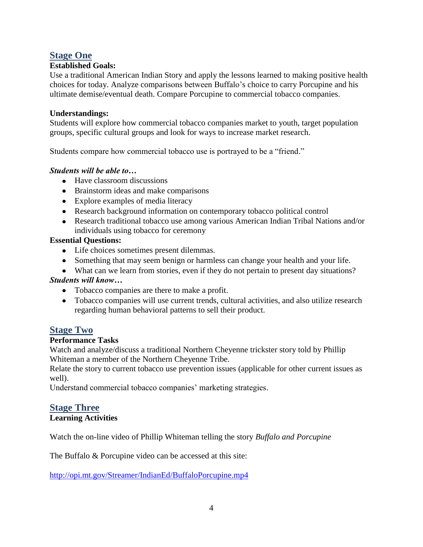#### **Stage One**

#### **Established Goals:**

Use a traditional American Indian Story and apply the lessons learned to making positive health choices for today. Analyze comparisons between Buffalo's choice to carry Porcupine and his ultimate demise/eventual death. Compare Porcupine to commercial tobacco companies.

#### **Understandings:**

Students will explore how commercial tobacco companies market to youth, target population groups, specific cultural groups and look for ways to increase market research.

Students compare how commercial tobacco use is portrayed to be a "friend."

#### *Students will be able to…*

- Have classroom discussions
- Brainstorm ideas and make comparisons
- Explore examples of media literacy
- Research background information on contemporary tobacco political control
- Research traditional tobacco use among various American Indian Tribal Nations and/or individuals using tobacco for ceremony

#### **Essential Questions:**

- Life choices sometimes present dilemmas.
- Something that may seem benign or harmless can change your health and your life.
- What can we learn from stories, even if they do not pertain to present day situations?

#### *Students will know…*

- Tobacco companies are there to make a profit.
- Tobacco companies will use current trends, cultural activities, and also utilize research regarding human behavioral patterns to sell their product.

#### **Stage Two**

#### **Performance Tasks**

Watch and analyze/discuss a traditional Northern Cheyenne trickster story told by Phillip Whiteman a member of the Northern Cheyenne Tribe.

Relate the story to current tobacco use prevention issues (applicable for other current issues as well).

Understand commercial tobacco companies' marketing strategies.

### **Stage Three**

#### **Learning Activities**

Watch the on-line video of Phillip Whiteman telling the story *Buffalo and Porcupine*

The Buffalo & Porcupine video can be accessed at this site:

<http://opi.mt.gov/Streamer/IndianEd/BuffaloPorcupine.mp4>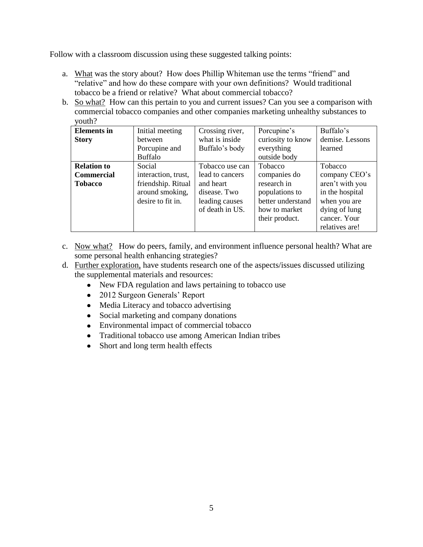Follow with a classroom discussion using these suggested talking points:

- a. What was the story about? How does Phillip Whiteman use the terms "friend" and "relative" and how do these compare with your own definitions? Would traditional tobacco be a friend or relative? What about commercial tobacco?
- b. So what? How can this pertain to you and current issues? Can you see a comparison with commercial tobacco companies and other companies marketing unhealthy substances to youth?

| <b>Elements</b> in | Initial meeting     | Crossing river, | Porcupine's       | Buffalo's       |
|--------------------|---------------------|-----------------|-------------------|-----------------|
| <b>Story</b>       | between             | what is inside  | curiosity to know | demise. Lessons |
|                    | Porcupine and       | Buffalo's body  | everything        | learned         |
|                    | Buffalo             |                 | outside body      |                 |
| <b>Relation to</b> | Social              | Tobacco use can | Tobacco           | Tobacco         |
| <b>Commercial</b>  | interaction, trust, | lead to cancers | companies do      | company CEO's   |
| <b>Tobacco</b>     | friendship. Ritual  | and heart       | research in       | aren't with you |
|                    | around smoking,     | disease. Two    | populations to    | in the hospital |
|                    | desire to fit in.   | leading causes  | better understand | when you are    |
|                    |                     | of death in US. | how to market     | dying of lung   |
|                    |                     |                 | their product.    | cancer. Your    |
|                    |                     |                 |                   | relatives are!  |

- c. Now what? How do peers, family, and environment influence personal health? What are some personal health enhancing strategies?
- d. Further exploration, have students research one of the aspects/issues discussed utilizing the supplemental materials and resources:
	- New FDA regulation and laws pertaining to tobacco use
	- 2012 Surgeon Generals' Report
	- Media Literacy and tobacco advertising
	- Social marketing and company donations
	- Environmental impact of commercial tobacco
	- Traditional tobacco use among American Indian tribes
	- $\bullet$ Short and long term health effects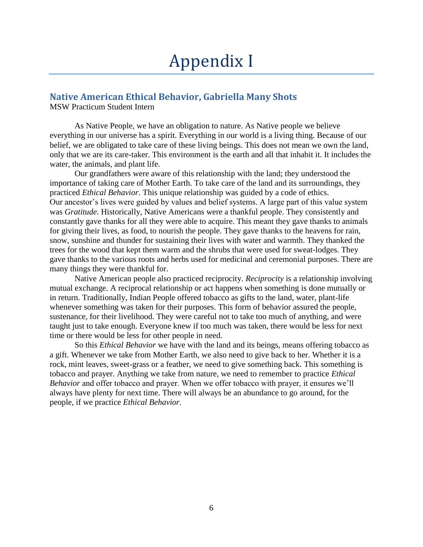## Appendix I

#### **Native American Ethical Behavior, Gabriella Many Shots**

MSW Practicum Student Intern

As Native People, we have an obligation to nature. As Native people we believe everything in our universe has a spirit. Everything in our world is a living thing. Because of our belief, we are obligated to take care of these living beings. This does not mean we own the land, only that we are its care-taker. This environment is the earth and all that inhabit it. It includes the water, the animals, and plant life.

Our grandfathers were aware of this relationship with the land; they understood the importance of taking care of Mother Earth. To take care of the land and its surroundings, they practiced *Ethical Behavior*. This unique relationship was guided by a code of ethics. Our ancestor's lives were guided by values and belief systems. A large part of this value system was *Gratitude.* Historically, Native Americans were a thankful people. They consistently and constantly gave thanks for all they were able to acquire. This meant they gave thanks to animals for giving their lives, as food, to nourish the people. They gave thanks to the heavens for rain, snow, sunshine and thunder for sustaining their lives with water and warmth. They thanked the trees for the wood that kept them warm and the shrubs that were used for sweat-lodges. They gave thanks to the various roots and herbs used for medicinal and ceremonial purposes. There are many things they were thankful for.

Native American people also practiced reciprocity. *Reciprocity* is a relationship involving mutual exchange. A reciprocal relationship or act happens when something is done mutually or in return. Traditionally, Indian People offered tobacco as gifts to the land, water, plant-life whenever something was taken for their purposes. This form of behavior assured the people, sustenance, for their livelihood. They were careful not to take too much of anything, and were taught just to take enough. Everyone knew if too much was taken, there would be less for next time or there would be less for other people in need.

So this *Ethical Behavior* we have with the land and its beings, means offering tobacco as a gift. Whenever we take from Mother Earth, we also need to give back to her. Whether it is a rock, mint leaves, sweet-grass or a feather, we need to give something back. This something is tobacco and prayer. Anything we take from nature, we need to remember to practice *Ethical Behavior* and offer tobacco and prayer. When we offer tobacco with prayer, it ensures we'll always have plenty for next time. There will always be an abundance to go around, for the people, if we practice *Ethical Behavior.*